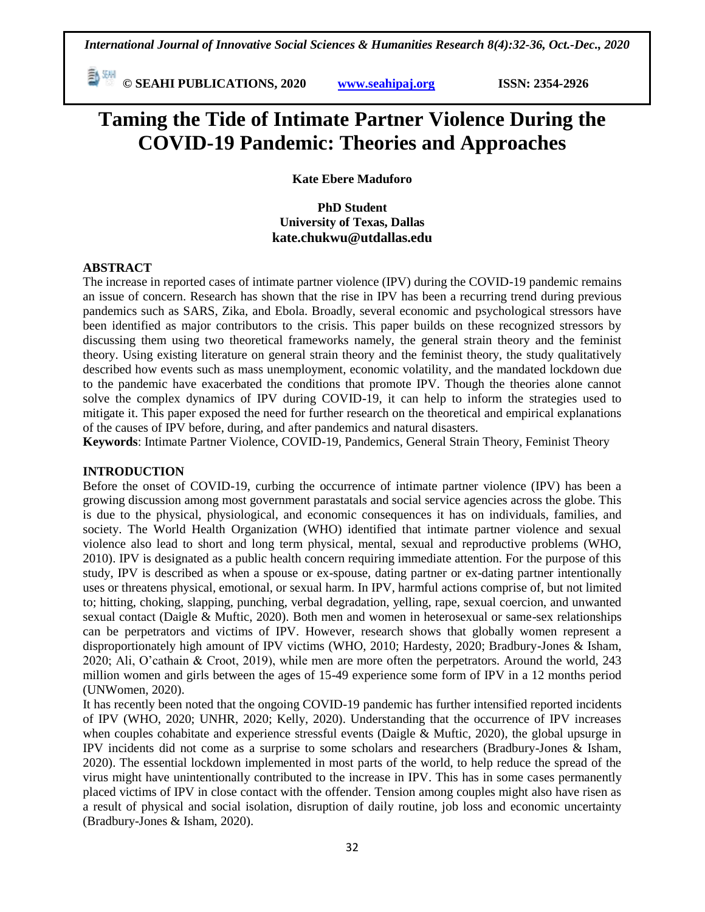**© SEAHI PUBLICATIONS, 2020 [www.seahipaj.org](http://www.seahipaj.org/) ISSN: 2354-2926** 

# **Taming the Tide of Intimate Partner Violence During the COVID-19 Pandemic: Theories and Approaches**

**Kate Ebere Maduforo**

**PhD Student University of Texas, Dallas kate.chukwu@utdallas.edu** 

#### **ABSTRACT**

The increase in reported cases of intimate partner violence (IPV) during the COVID-19 pandemic remains an issue of concern. Research has shown that the rise in IPV has been a recurring trend during previous pandemics such as SARS, Zika, and Ebola. Broadly, several economic and psychological stressors have been identified as major contributors to the crisis. This paper builds on these recognized stressors by discussing them using two theoretical frameworks namely, the general strain theory and the feminist theory. Using existing literature on general strain theory and the feminist theory, the study qualitatively described how events such as mass unemployment, economic volatility, and the mandated lockdown due to the pandemic have exacerbated the conditions that promote IPV. Though the theories alone cannot solve the complex dynamics of IPV during COVID-19, it can help to inform the strategies used to mitigate it. This paper exposed the need for further research on the theoretical and empirical explanations of the causes of IPV before, during, and after pandemics and natural disasters.

**Keywords**: Intimate Partner Violence, COVID-19, Pandemics, General Strain Theory, Feminist Theory

## **INTRODUCTION**

Before the onset of COVID-19, curbing the occurrence of intimate partner violence (IPV) has been a growing discussion among most government parastatals and social service agencies across the globe. This is due to the physical, physiological, and economic consequences it has on individuals, families, and society. The World Health Organization (WHO) identified that intimate partner violence and sexual violence also lead to short and long term physical, mental, sexual and reproductive problems (WHO, 2010). IPV is designated as a public health concern requiring immediate attention. For the purpose of this study, IPV is described as when a spouse or ex-spouse, dating partner or ex-dating partner intentionally uses or threatens physical, emotional, or sexual harm. In IPV, harmful actions comprise of, but not limited to; hitting, choking, slapping, punching, verbal degradation, yelling, rape, sexual coercion, and unwanted sexual contact (Daigle & Muftic, 2020). Both men and women in heterosexual or same-sex relationships can be perpetrators and victims of IPV. However, research shows that globally women represent a disproportionately high amount of IPV victims (WHO, 2010; Hardesty, 2020; Bradbury-Jones & Isham, 2020; Ali, O'cathain & Croot, 2019), while men are more often the perpetrators. Around the world, 243 million women and girls between the ages of 15-49 experience some form of IPV in a 12 months period (UNWomen, 2020).

It has recently been noted that the ongoing COVID-19 pandemic has further intensified reported incidents of IPV (WHO, 2020; UNHR, 2020; Kelly, 2020). Understanding that the occurrence of IPV increases when couples cohabitate and experience stressful events (Daigle & Muftic, 2020), the global upsurge in IPV incidents did not come as a surprise to some scholars and researchers (Bradbury-Jones & Isham, 2020). The essential lockdown implemented in most parts of the world, to help reduce the spread of the virus might have unintentionally contributed to the increase in IPV. This has in some cases permanently placed victims of IPV in close contact with the offender. Tension among couples might also have risen as a result of physical and social isolation, disruption of daily routine, job loss and economic uncertainty (Bradbury-Jones & Isham, 2020).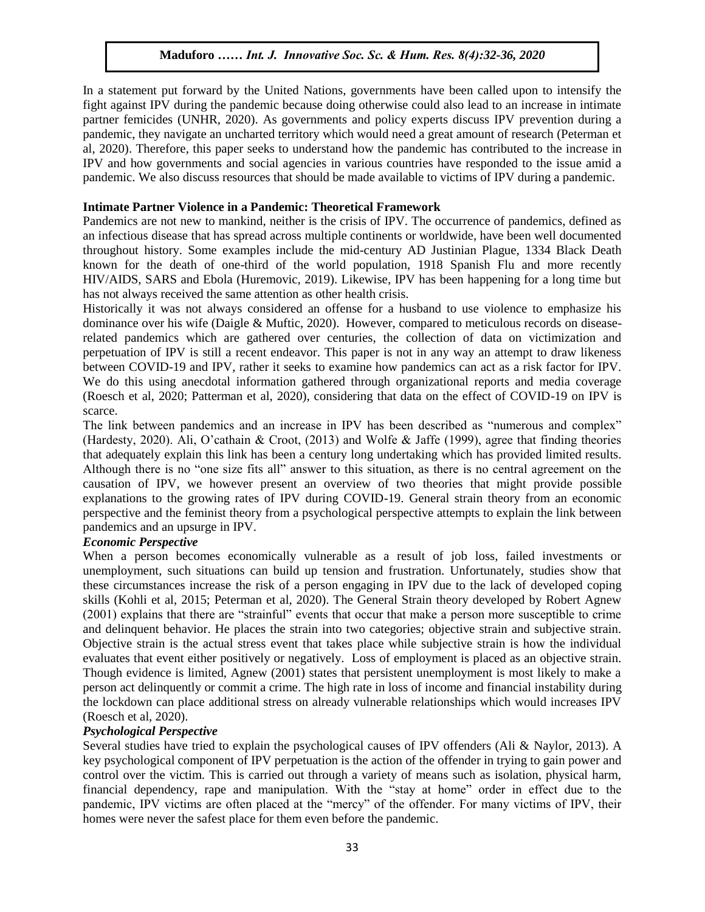In a statement put forward by the United Nations, governments have been called upon to intensify the If a statement put for the of the entire function, governments have seen cancel upon to intensity and fight against IPV during the pandemic because doing otherwise could also lead to an increase in intimate partner femicides (UNHR, 2020). As governments and policy experts discuss IPV prevention during a pandemic, they navigate an uncharted territory which would need a great amount of research (Peterman et al, 2020). Therefore, this paper seeks to understand how the pandemic has contributed to the increase in IPV and how governments and social agencies in various countries have responded to the issue amid a TPV pandemic. We also discuss resources that should be made available to victims of IPV during a pandemic.

#### **Intimate Partner Violence in a Pandemic: Theoretical Framework**

Pandemics are not new to mankind, neither is the crisis of IPV. The occurrence of pandemics, defined as Pandemics an infectious disease that has spread across multiple continents or worldwide, have been well documented throughout history. Some examples include the mid-century AD Justinian Plague, 1334 Black Death known for the death of one-third of the world population, 1918 Spanish Flu and more recently HIV/AIDS, SARS and Ebola (Huremovic, 2019). Likewise, IPV has been happening for a long time but has not always received the same attention as other health crisis.

Historically it was not always considered an offense for a husband to use violence to emphasize his dominance over his wife (Daigle & Muftic, 2020). However, compared to meticulous records on diseaserelated pandemics which are gathered over centuries, the collection of data on victimization and perpetuation of IPV is still a recent endeavor. This paper is not in any way an attempt to draw likeness between COVID-19 and IPV, rather it seeks to examine how pandemics can act as a risk factor for IPV. We do this using anecdotal information gathered through organizational reports and media coverage (Roesch et al, 2020; Patterman et al, 2020), considering that data on the effect of COVID-19 on IPV is scarce.

The link between pandemics and an increase in IPV has been described as "numerous and complex" (Hardesty, 2020). Ali, O'cathain & Croot, (2013) and Wolfe & Jaffe (1999), agree that finding theories that adequately explain this link has been a century long undertaking which has provided limited results. Although there is no "one size fits all" answer to this situation, as there is no central agreement on the causation of IPV, we however present an overview of two theories that might provide possible explanations to the growing rates of IPV during COVID-19. General strain theory from an economic perspective and the feminist theory from a psychological perspective attempts to explain the link between pandemics and an upsurge in IPV.

## *Economic Perspective*

When a person becomes economically vulnerable as a result of job loss, failed investments or unemployment, such situations can build up tension and frustration. Unfortunately, studies show that these circumstances increase the risk of a person engaging in IPV due to the lack of developed coping skills (Kohli et al, 2015; Peterman et al, 2020). The General Strain theory developed by Robert Agnew (2001) explains that there are "strainful" events that occur that make a person more susceptible to crime and delinquent behavior. He places the strain into two categories; objective strain and subjective strain. Objective strain is the actual stress event that takes place while subjective strain is how the individual evaluates that event either positively or negatively. Loss of employment is placed as an objective strain. Though evidence is limited, Agnew (2001) states that persistent unemployment is most likely to make a person act delinquently or commit a crime. The high rate in loss of income and financial instability during the lockdown can place additional stress on already vulnerable relationships which would increases IPV (Roesch et al, 2020).

## *Psychological Perspective*

Several studies have tried to explain the psychological causes of IPV offenders (Ali & Naylor, 2013). A key psychological component of IPV perpetuation is the action of the offender in trying to gain power and control over the victim. This is carried out through a variety of means such as isolation, physical harm, financial dependency, rape and manipulation. With the "stay at home" order in effect due to the pandemic, IPV victims are often placed at the "mercy" of the offender. For many victims of IPV, their homes were never the safest place for them even before the pandemic.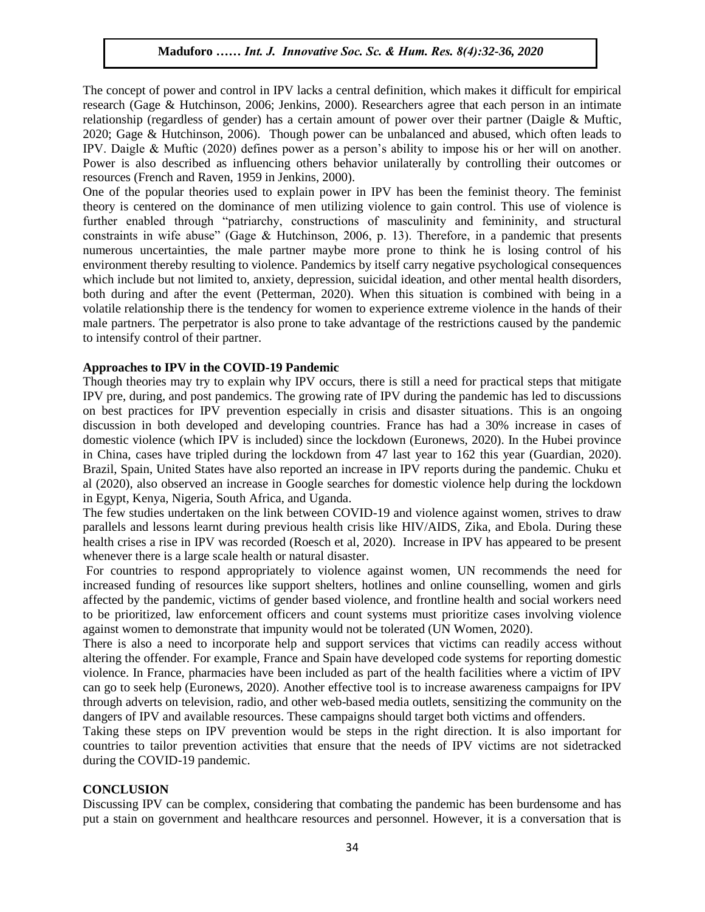The concept of power and control in IPV lacks a central definition, which makes it difficult for empirical research (Gage & Hutchinson, 2006; Jenkins, 2000). Researchers agree that each person in an intimate research (Gage & Hutchinson, 2006; Jenkins, 2000). Researchers agree that each person in an intimate relationship (regardless of gender) has a certain amount of power over their partner (Daigle & Muftic, 2020; Gage & Hutchinson, 2006). Though power can be unbalanced and abused, which often leads to IPV. Daigle  $\&$  Muftic (2020) defines power as a person's ability to impose his or her will on another. Power is also described as influencing others behavior unilaterally by controlling their outcomes or resources (French and Raven, 1959 in Jenkins, 2000).

One of the popular theories used to explain power in IPV has been the feminist theory. The feminist theory is centered on the dominance of men utilizing violence to gain control. This use of violence is further enabled through "patriarchy, constructions of masculinity and femininity, and structural further enabled through "patriarchy, constructions of masculinity and femininity, and structural constraints in wife abuse" (Gage & Hutchinson, 2006, p. 13). Therefore, in a pandemic that presents numerous uncertainties, the male partner maybe more prone to think he is losing control of his environment thereby resulting to violence. Pandemics by itself carry negative psychological consequences environment increby resulting to violence. I andernies by itself early negative psychological consequences which include but not limited to, anxiety, depression, suicidal ideation, and other mental health disorders, both during and after the event (Petterman, 2020). When this situation is combined with being in a volatile relationship there is the tendency for women to experience extreme violence in the hands of their male partners. The perpetrator is also prone to take advantage of the restrictions caused by the pandemic<br>to intensify control of their pertner. to intensify control of their partner.

#### **Approaches to IPV in the COVID-19 Pandemic**

Though theories may try to explain why IPV occurs, there is still a need for practical steps that mitigate IPV pre, during, and post pandemics. The growing rate of IPV during the pandemic has led to discussions IPV pre, during, and post pandemics. The growing rate of IPV during the pandemic has led to discussions on best practices for IPV prevention especially in crisis and disaster situations. This is an ongoing discussion in both developed and developing countries. France has had a 30% increase in cases of domestic violence (which IPV is included) since the lockdown (Euronews, 2020). In the Hubei province in China, cases have tripled during the lockdown from 47 last year to 162 this year (Guardian, 2020). Brazil, Spain, United States have also reported an increase in IPV reports during the pandemic. Chuku et al (2020), also observed an increase in Google searches for domestic violence help during the lockdown in Egypt, Kenya, Nigeria, South Africa, and Uganda.

The few studies undertaken on the link between COVID-19 and violence against women, strives to draw parallels and lessons learnt during previous health crisis like HIV/AIDS, Zika, and Ebola. During these health crises a rise in IPV was recorded (Roesch et al, 2020). Increase in IPV has appeared to be present whenever there is a large scale health or natural disaster.

For countries to respond appropriately to violence against women, UN recommends the need for increased funding of resources like support shelters, hotlines and online counselling, women and girls affected by the pandemic, victims of gender based violence, and frontline health and social workers need to be prioritized, law enforcement officers and count systems must prioritize cases involving violence against women to demonstrate that impunity would not be tolerated (UN Women, 2020).

There is also a need to incorporate help and support services that victims can readily access without altering the offender. For example, France and Spain have developed code systems for reporting domestic violence. In France, pharmacies have been included as part of the health facilities where a victim of IPV can go to seek help (Euronews, 2020). Another effective tool is to increase awareness campaigns for IPV through adverts on television, radio, and other web-based media outlets, sensitizing the community on the dangers of IPV and available resources. These campaigns should target both victims and offenders.

Taking these steps on IPV prevention would be steps in the right direction. It is also important for countries to tailor prevention activities that ensure that the needs of IPV victims are not sidetracked during the COVID-19 pandemic.

#### **CONCLUSION**

Discussing IPV can be complex, considering that combating the pandemic has been burdensome and has put a stain on government and healthcare resources and personnel. However, it is a conversation that is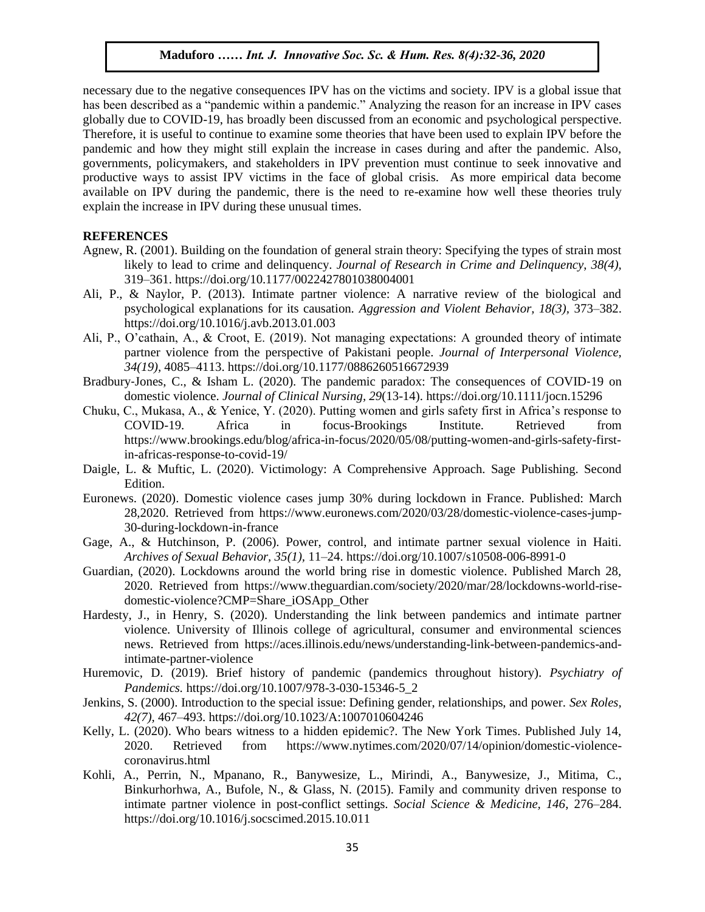necessary due to the negative consequences IPV has on the victims and society. IPV is a global issue that has been described as a "pandemic within a pandemic." Analyzing the reason for an increase in IPV cases globally due to COVID-19, has broadly been discussed from an economic and psychological perspective. Therefore, it is useful to continue to examine some theories that have been used to explain IPV before the pandemic and how they might still explain the increase in cases during and after the pandemic. Also, governments, policymakers, and stakeholders in IPV prevention must continue to seek innovative and governments, productive ways to assist IPV victims in the face of global crisis. As more empirical data become available on IPV during the pandemic, there is the need to re-examine how well these theories truly explain the increase in IPV during these unusual times.  $\sigma$  . In the Music  $\sigma$ 

#### **REFERENCES**

- Agnew, R. (2001). Building on the foundation of general strain theory: Specifying the types of strain most likely to lead to crime and delinquency. *Journal of Research in Crime and Delinquency*, *38(4),* 319–361. https://doi.org/10.1177/0022427801038004001
- Ali, P., & Naylor, P. (2013). Intimate partner violence: A narrative review of the biological and psychological explanations for its causation. *Aggression and Violent Behavior, 18(3),* 373–382. https://doi.org/10.1016/j.avb.2013.01.003
- Ali, P., O'cathain, A., & Croot, E. (2019). Not managing expectations: A grounded theory of intimate partner violence from the perspective of Pakistani people. *Journal of Interpersonal Violence, 34(19),* 4085–4113. https://doi.org/10.1177/0886260516672939
- Bradbury-Jones, C., & Isham L. (2020). The pandemic paradox: The consequences of COVID-19 on domestic violence. *Journal of Clinical Nursing*, 29(13-14).<https://doi.org/10.1111/jocn.15296>
- Chuku, C., Mukasa, A., & Yenice, Y. (2020). Putting women and girls safety first in Africa's response to COVID-19. Africa in focus-Brookings Institute. Retrieved from https://www.brookings.edu/blog/africa-in-focus/2020/05/08/putting-women-and-girls-safety-firstin-africas-response-to-covid-19/
- Daigle, L. & Muftic, L. (2020). Victimology: A Comprehensive Approach. Sage Publishing. Second Edition.
- Euronews. (2020). Domestic violence cases jump 30% during lockdown in France. Published: March 28,2020. Retrieved from https://www.euronews.com/2020/03/28/domestic-violence-cases-jump-30-during-lockdown-in-france
- Gage, A., & Hutchinson, P. (2006). Power, control, and intimate partner sexual violence in Haiti. *Archives of Sexual Behavior, 35(1),* 11–24. https://doi.org/10.1007/s10508-006-8991-0
- Guardian, (2020). Lockdowns around the world bring rise in domestic violence. Published March 28, 2020. Retrieved from https://www.theguardian.com/society/2020/mar/28/lockdowns-world-risedomestic-violence?CMP=Share\_iOSApp\_Other
- Hardesty, J., in Henry, S. (2020). Understanding the link between pandemics and intimate partner violence. University of Illinois college of agricultural, consumer and environmental sciences news. Retrieved from [https://aces.illinois.edu/news/understanding-link-between-pandemics-and](https://aces.illinois.edu/news/understanding-link-between-pandemics-and-intimate-partner-violence)[intimate-partner-violence](https://aces.illinois.edu/news/understanding-link-between-pandemics-and-intimate-partner-violence)
- Huremovic, D. (2019). Brief history of pandemic (pandemics throughout history). *Psychiatry of Pandemics.* https://doi.org/10.1007/978-3-030-15346-5\_2
- Jenkins, S. (2000). Introduction to the special issue: Defining gender, relationships, and power. *Sex Roles, 42(7),* 467–493. https://doi.org/10.1023/A:1007010604246
- Kelly, L. (2020). Who bears witness to a hidden epidemic?. The New York Times. Published July 14, 2020. Retrieved from https://www.nytimes.com/2020/07/14/opinion/domestic-violencecoronavirus.html
- Kohli, A., Perrin, N., Mpanano, R., Banywesize, L., Mirindi, A., Banywesize, J., Mitima, C., Binkurhorhwa, A., Bufole, N., & Glass, N. (2015). Family and community driven response to intimate partner violence in post-conflict settings. *Social Science & Medicine, 146*, 276–284. https://doi.org/10.1016/j.socscimed.2015.10.011